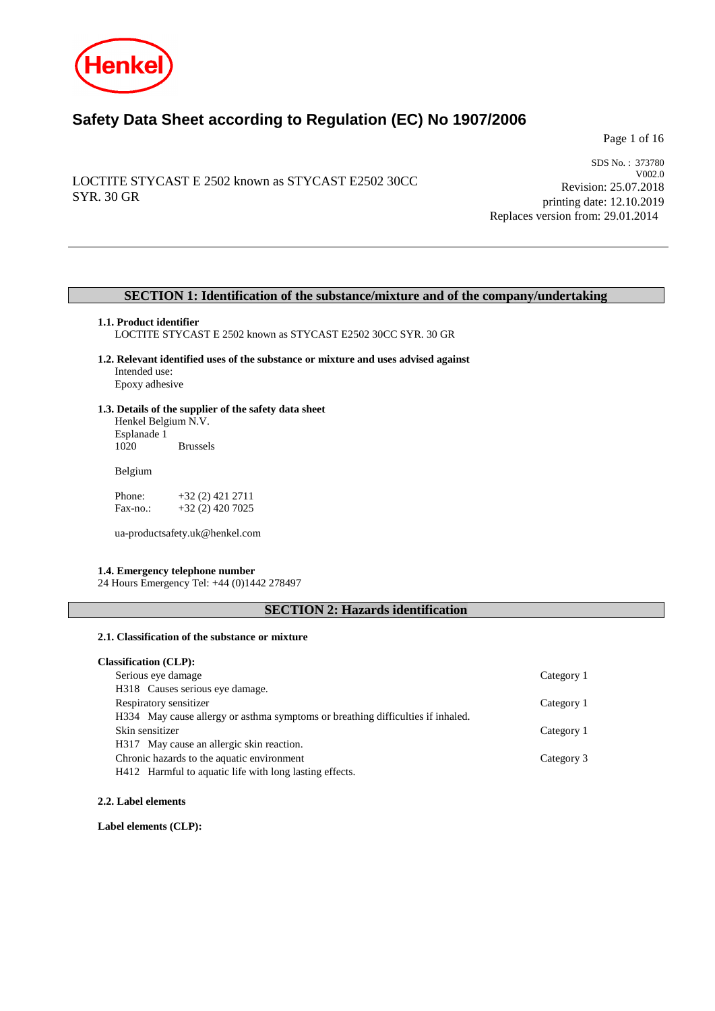

# **Safety Data Sheet according to Regulation (EC) No 1907/2006**

Page 1 of 16

# LOCTITE STYCAST E 2502 known as STYCAST E2502 30CC SYR. 30 GR

SDS No. : 373780 V002.0 Revision: 25.07.2018 printing date: 12.10.2019 Replaces version from: 29.01.2014

# **SECTION 1: Identification of the substance/mixture and of the company/undertaking**

### **1.1. Product identifier**

LOCTITE STYCAST E 2502 known as STYCAST E2502 30CC SYR. 30 GR

**1.2. Relevant identified uses of the substance or mixture and uses advised against** Intended use: Epoxy adhesive

# **1.3. Details of the supplier of the safety data sheet** Henkel Belgium N.V.

Esplanade 1 **Brussels** 

Belgium

Phone: +32 (2) 421 2711<br>Fax-no.: +32 (2) 420 7025 +32 (2) 420 7025

ua-productsafety.uk@henkel.com

## **1.4. Emergency telephone number**

24 Hours Emergency Tel: +44 (0)1442 278497

# **SECTION 2: Hazards identification**

## **2.1. Classification of the substance or mixture**

| Category 1 |
|------------|
|            |
| Category 1 |
|            |
| Category 1 |
|            |
| Category 3 |
|            |
|            |

**2.2. Label elements**

**Label elements (CLP):**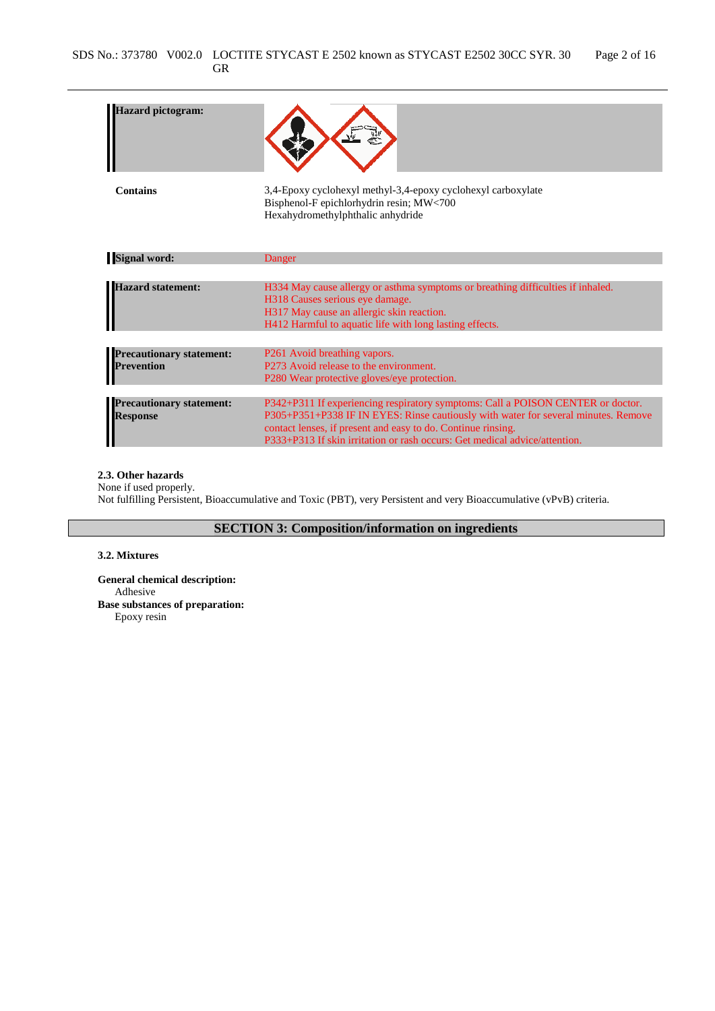| <b>Iazard pictogram:</b>                           |                                                                                                                                                                                                                                                                                                                     |
|----------------------------------------------------|---------------------------------------------------------------------------------------------------------------------------------------------------------------------------------------------------------------------------------------------------------------------------------------------------------------------|
| <b>Contains</b>                                    | 3,4-Epoxy cyclohexyl methyl-3,4-epoxy cyclohexyl carboxylate<br>Bisphenol-F epichlorhydrin resin; MW<700<br>Hexahydromethylphthalic anhydride                                                                                                                                                                       |
| <b>Signal word:</b>                                | Danger                                                                                                                                                                                                                                                                                                              |
|                                                    |                                                                                                                                                                                                                                                                                                                     |
| <b>Hazard statement:</b>                           | H334 May cause allergy or asthma symptoms or breathing difficulties if inhaled.<br>H318 Causes serious eye damage.<br>H317 May cause an allergic skin reaction.<br>H412 Harmful to aquatic life with long lasting effects.                                                                                          |
|                                                    |                                                                                                                                                                                                                                                                                                                     |
| <b>Precautionary statement:</b><br>Prevention      | P261 Avoid breathing vapors.<br>P273 Avoid release to the environment.                                                                                                                                                                                                                                              |
|                                                    | P280 Wear protective gloves/eye protection.                                                                                                                                                                                                                                                                         |
|                                                    |                                                                                                                                                                                                                                                                                                                     |
| <b>Precautionary statement:</b><br><b>Response</b> | P342+P311 If experiencing respiratory symptoms: Call a POISON CENTER or doctor.<br>P305+P351+P338 IF IN EYES: Rinse cautiously with water for several minutes. Remove<br>contact lenses, if present and easy to do. Continue rinsing.<br>P333+P313 If skin irritation or rash occurs: Get medical advice/attention. |

### **2.3. Other hazards**

None if used properly. Not fulfilling Persistent, Bioaccumulative and Toxic (PBT), very Persistent and very Bioaccumulative (vPvB) criteria.

**SECTION 3: Composition/information on ingredients**

### **3.2. Mixtures**

**General chemical description:** Adhesive **Base substances of preparation:** Epoxy resin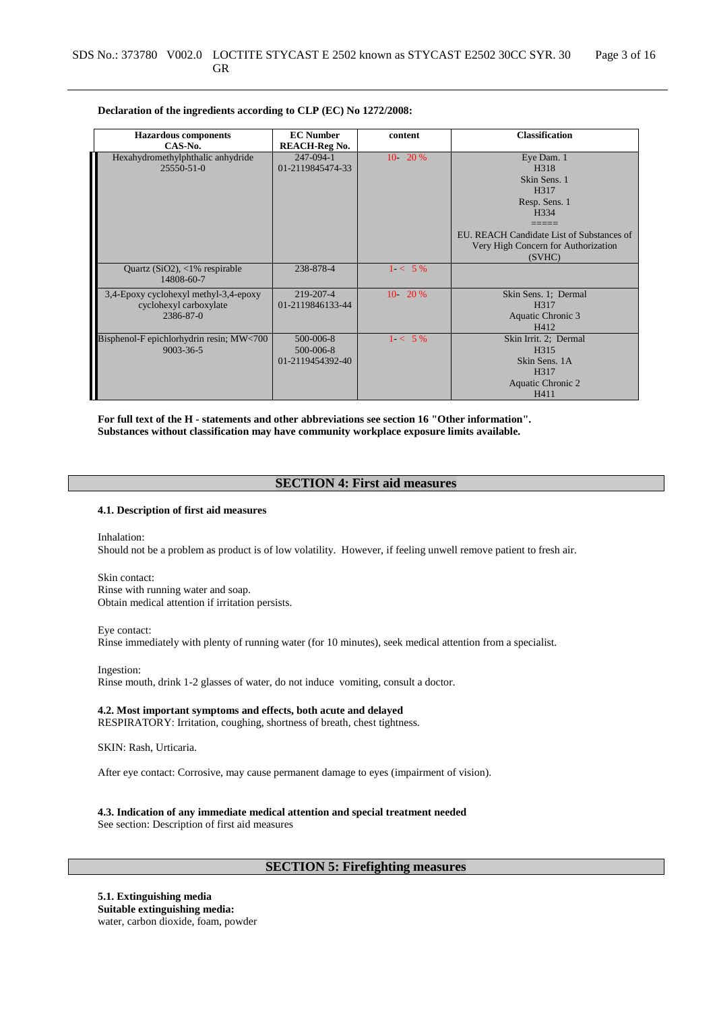#### **Declaration of the ingredients according to CLP (EC) No 1272/2008:**

| <b>Hazardous</b> components              | <b>EC</b> Number     | content    | <b>Classification</b>                     |
|------------------------------------------|----------------------|------------|-------------------------------------------|
| CAS-No.                                  | <b>REACH-Reg No.</b> |            |                                           |
| Hexahydromethylphthalic anhydride        | 247-094-1            | $10 - 20%$ | Eye Dam. 1                                |
| $25550 - 51 - 0$                         | 01-2119845474-33     |            | H318                                      |
|                                          |                      |            | Skin Sens. 1                              |
|                                          |                      |            | H317                                      |
|                                          |                      |            | Resp. Sens. 1                             |
|                                          |                      |            | H <sub>3</sub> 34                         |
|                                          |                      |            |                                           |
|                                          |                      |            | EU. REACH Candidate List of Substances of |
|                                          |                      |            | Very High Concern for Authorization       |
|                                          |                      |            | (SVHC)                                    |
| Quartz $(SiO2)$ , <1% respirable         | 238-878-4            | $1 < 5\%$  |                                           |
| 14808-60-7                               |                      |            |                                           |
| 3,4-Epoxy cyclohexyl methyl-3,4-epoxy    | 219-207-4            | $10 - 20%$ | Skin Sens. 1; Dermal                      |
| cyclohexyl carboxylate                   | 01-2119846133-44     |            | H <sub>3</sub> 17                         |
| 2386-87-0                                |                      |            | Aquatic Chronic 3                         |
|                                          |                      |            | H412                                      |
| Bisphenol-F epichlorhydrin resin; MW<700 | 500-006-8            | $1 < 5\%$  | Skin Irrit. 2; Dermal                     |
| $9003 - 36 - 5$                          | 500-006-8            |            | H <sub>315</sub>                          |
|                                          | 01-2119454392-40     |            | Skin Sens. 1A                             |
|                                          |                      |            | H317                                      |
|                                          |                      |            | Aquatic Chronic 2                         |
|                                          |                      |            | H411                                      |

**For full text of the H - statements and other abbreviations see section 16 "Other information". Substances without classification may have community workplace exposure limits available.**

## **SECTION 4: First aid measures**

### **4.1. Description of first aid measures**

Inhalation: Should not be a problem as product is of low volatility. However, if feeling unwell remove patient to fresh air.

Skin contact: Rinse with running water and soap. Obtain medical attention if irritation persists.

Eye contact:

Rinse immediately with plenty of running water (for 10 minutes), seek medical attention from a specialist.

Ingestion: Rinse mouth, drink 1-2 glasses of water, do not induce vomiting, consult a doctor.

**4.2. Most important symptoms and effects, both acute and delayed** RESPIRATORY: Irritation, coughing, shortness of breath, chest tightness.

SKIN: Rash, Urticaria.

After eye contact: Corrosive, may cause permanent damage to eyes (impairment of vision).

# **4.3. Indication of any immediate medical attention and special treatment needed**

See section: Description of first aid measures

# **SECTION 5: Firefighting measures**

**5.1. Extinguishing media Suitable extinguishing media:** water, carbon dioxide, foam, powder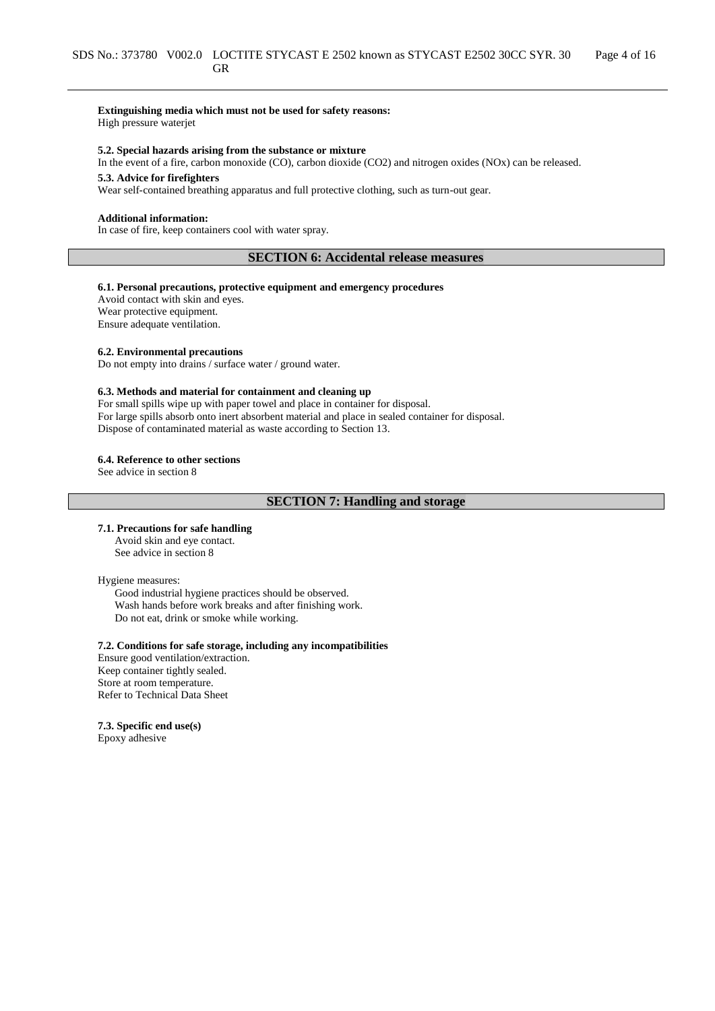#### **Extinguishing media which must not be used for safety reasons:** High pressure waterjet

**5.2. Special hazards arising from the substance or mixture**

In the event of a fire, carbon monoxide (CO), carbon dioxide (CO2) and nitrogen oxides (NOx) can be released.

# **5.3. Advice for firefighters**

Wear self-contained breathing apparatus and full protective clothing, such as turn-out gear.

#### **Additional information:**

In case of fire, keep containers cool with water spray.

## **SECTION 6: Accidental release measures**

#### **6.1. Personal precautions, protective equipment and emergency procedures**

Avoid contact with skin and eyes. Wear protective equipment. Ensure adequate ventilation.

#### **6.2. Environmental precautions**

Do not empty into drains / surface water / ground water.

#### **6.3. Methods and material for containment and cleaning up**

For small spills wipe up with paper towel and place in container for disposal. For large spills absorb onto inert absorbent material and place in sealed container for disposal. Dispose of contaminated material as waste according to Section 13.

#### **6.4. Reference to other sections**

See advice in section 8

# **SECTION 7: Handling and storage**

#### **7.1. Precautions for safe handling**

Avoid skin and eye contact. See advice in section 8

#### Hygiene measures:

Good industrial hygiene practices should be observed. Wash hands before work breaks and after finishing work. Do not eat, drink or smoke while working.

# **7.2. Conditions for safe storage, including any incompatibilities**

Ensure good ventilation/extraction. Keep container tightly sealed. Store at room temperature. Refer to Technical Data Sheet

#### **7.3. Specific end use(s)**

Epoxy adhesive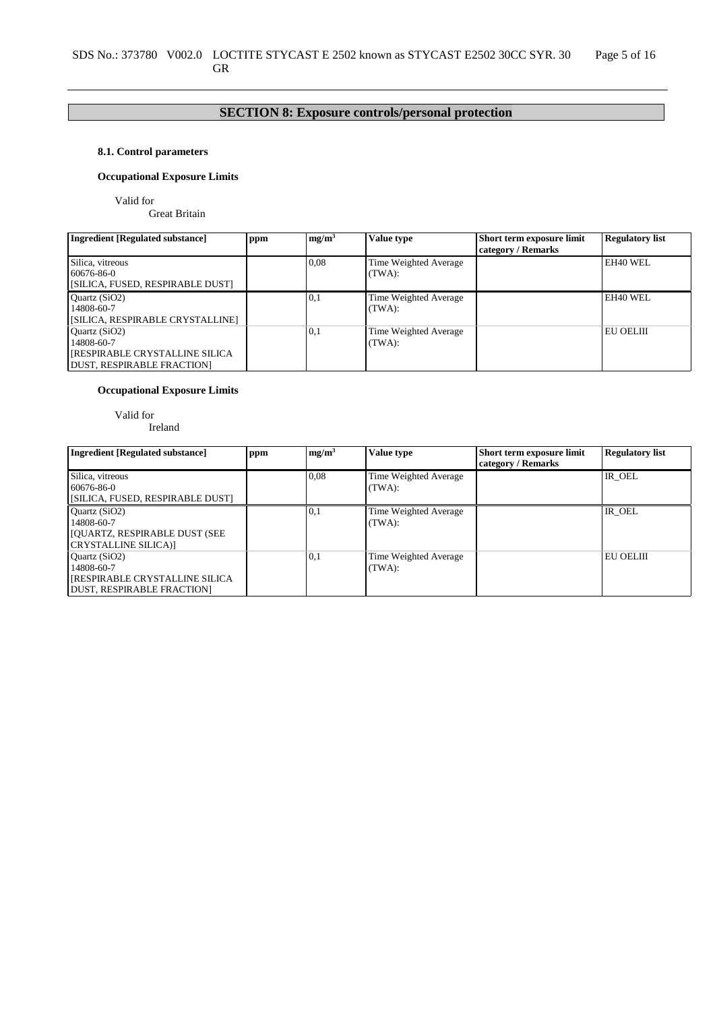# **SECTION 8: Exposure controls/personal protection**

# **8.1. Control parameters**

# **Occupational Exposure Limits**

Valid for

Great Britain

| <b>Ingredient [Regulated substance]</b>                                                                    | ppm | mg/m <sup>3</sup> | Value type                      | Short term exposure limit<br>category / Remarks | <b>Regulatory list</b> |
|------------------------------------------------------------------------------------------------------------|-----|-------------------|---------------------------------|-------------------------------------------------|------------------------|
| Silica, vitreous<br>60676-86-0<br>[SILICA, FUSED, RESPIRABLE DUST]                                         |     | 0.08              | Time Weighted Average<br>(TWA): |                                                 | EH40 WEL               |
| Quartz (SiO2)<br>14808-60-7<br>[SILICA, RESPIRABLE CRYSTALLINE]                                            |     | 0.1               | Time Weighted Average<br>(TWA): |                                                 | EH40 WEL               |
| Ouartz $(SiO2)$<br>14808-60-7<br><b>[RESPIRABLE CRYSTALLINE SILICA</b><br><b>DUST, RESPIRABLE FRACTION</b> |     | 0,1               | Time Weighted Average<br>(TWA): |                                                 | <b>EU OELIII</b>       |

## **Occupational Exposure Limits**

Valid for

Ireland

| <b>Ingredient [Regulated substance]</b>                                                                     | ppm | mg/m <sup>3</sup> | Value type                      | Short term exposure limit<br>category / Remarks | <b>Regulatory list</b> |
|-------------------------------------------------------------------------------------------------------------|-----|-------------------|---------------------------------|-------------------------------------------------|------------------------|
| Silica, vitreous<br>60676-86-0<br>[SILICA, FUSED, RESPIRABLE DUST]                                          |     | 0.08              | Time Weighted Average<br>(TWA): |                                                 | IR OEL                 |
| Ouartz $(SiO2)$<br>14808-60-7<br><b>JOUARTZ, RESPIRABLE DUST (SEE</b><br>CRYSTALLINE SILICA)]               |     | 0,1               | Time Weighted Average<br>(TWA): |                                                 | IR OEL                 |
| Ouartz $(SiO2)$<br>14808-60-7<br><b>[RESPIRABLE CRYSTALLINE SILICA</b><br><b>DUST, RESPIRABLE FRACTION]</b> |     | 0,1               | Time Weighted Average<br>(TWA): |                                                 | EU OELIII              |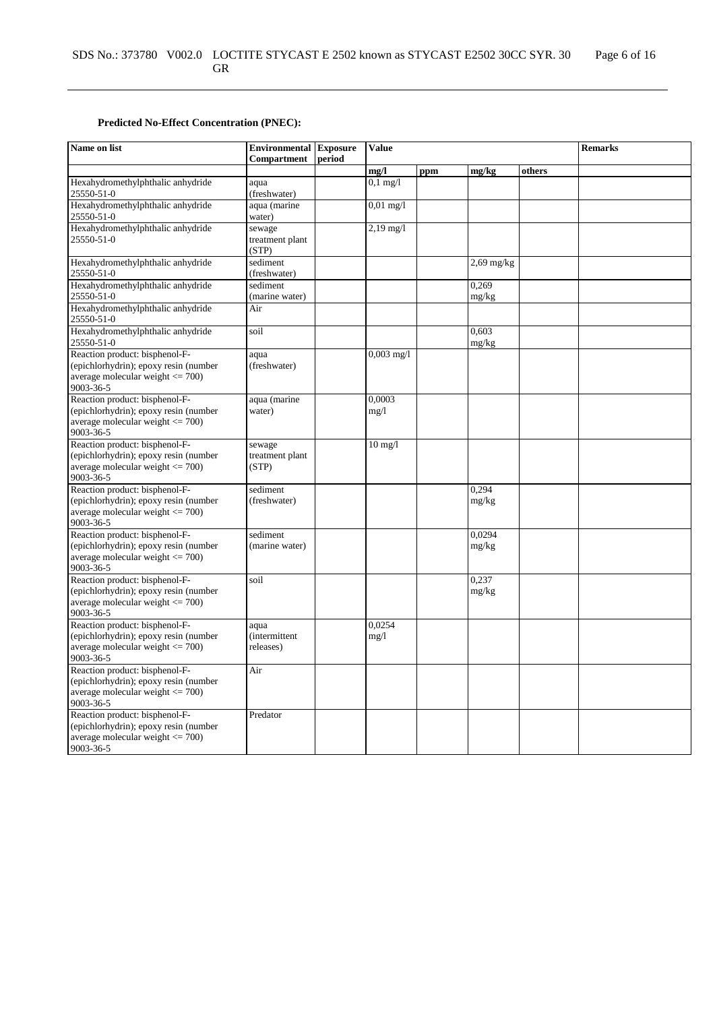# **Predicted No-Effect Concentration (PNEC):**

| Name on list                                                                                                                 | <b>Environmental Exposure</b><br>Compartment | period | <b>Value</b>        |     |                 |        | <b>Remarks</b> |
|------------------------------------------------------------------------------------------------------------------------------|----------------------------------------------|--------|---------------------|-----|-----------------|--------|----------------|
|                                                                                                                              |                                              |        | mg/l                | ppm | mg/kg           | others |                |
| Hexahydromethylphthalic anhydride<br>25550-51-0                                                                              | aqua<br>(freshwater)                         |        | $0,1$ mg/l          |     |                 |        |                |
| Hexahydromethylphthalic anhydride<br>25550-51-0                                                                              | aqua (marine<br>water)                       |        | $0,01 \text{ mg}/1$ |     |                 |        |                |
| Hexahydromethylphthalic anhydride<br>25550-51-0                                                                              | sewage<br>treatment plant<br>(STP)           |        | $2,19 \text{ mg}/1$ |     |                 |        |                |
| Hexahydromethylphthalic anhydride<br>25550-51-0                                                                              | sediment<br>(freshwater)                     |        |                     |     | $2,69$ mg/kg    |        |                |
| Hexahydromethylphthalic anhydride<br>25550-51-0                                                                              | sediment<br>(marine water)                   |        |                     |     | 0,269<br>mg/kg  |        |                |
| Hexahydromethylphthalic anhydride<br>25550-51-0                                                                              | Air                                          |        |                     |     |                 |        |                |
| Hexahydromethylphthalic anhydride<br>25550-51-0                                                                              | soil                                         |        |                     |     | 0.603<br>mg/kg  |        |                |
| Reaction product: bisphenol-F-<br>(epichlorhydrin); epoxy resin (number<br>average molecular weight $\leq$ 700)<br>9003-36-5 | aqua<br>(freshwater)                         |        | $0,003$ mg/l        |     |                 |        |                |
| Reaction product: bisphenol-F-<br>(epichlorhydrin); epoxy resin (number<br>average molecular weight $\leq$ 700)<br>9003-36-5 | aqua (marine<br>water)                       |        | 0,0003<br>mg/1      |     |                 |        |                |
| Reaction product: bisphenol-F-<br>(epichlorhydrin); epoxy resin (number<br>average molecular weight $\leq$ 700)<br>9003-36-5 | sewage<br>treatment plant<br>(STP)           |        | $10 \text{ mg}/1$   |     |                 |        |                |
| Reaction product: bisphenol-F-<br>(epichlorhydrin); epoxy resin (number<br>average molecular weight $\leq$ 700)<br>9003-36-5 | sediment<br>(freshwater)                     |        |                     |     | 0.294<br>mg/kg  |        |                |
| Reaction product: bisphenol-F-<br>(epichlorhydrin); epoxy resin (number<br>average molecular weight $\leq$ 700)<br>9003-36-5 | sediment<br>(marine water)                   |        |                     |     | 0.0294<br>mg/kg |        |                |
| Reaction product: bisphenol-F-<br>(epichlorhydrin); epoxy resin (number<br>average molecular weight $\leq$ 700)<br>9003-36-5 | soil                                         |        |                     |     | 0,237<br>mg/kg  |        |                |
| Reaction product: bisphenol-F-<br>(epichlorhydrin); epoxy resin (number<br>average molecular weight $\leq$ 700)<br>9003-36-5 | aqua<br><i>(intermittent)</i><br>releases)   |        | 0,0254<br>mg/1      |     |                 |        |                |
| Reaction product: bisphenol-F-<br>(epichlorhydrin); epoxy resin (number<br>average molecular weight $\leq$ 700)<br>9003-36-5 | Air                                          |        |                     |     |                 |        |                |
| Reaction product: bisphenol-F-<br>(epichlorhydrin); epoxy resin (number<br>average molecular weight $\leq$ 700)<br>9003-36-5 | Predator                                     |        |                     |     |                 |        |                |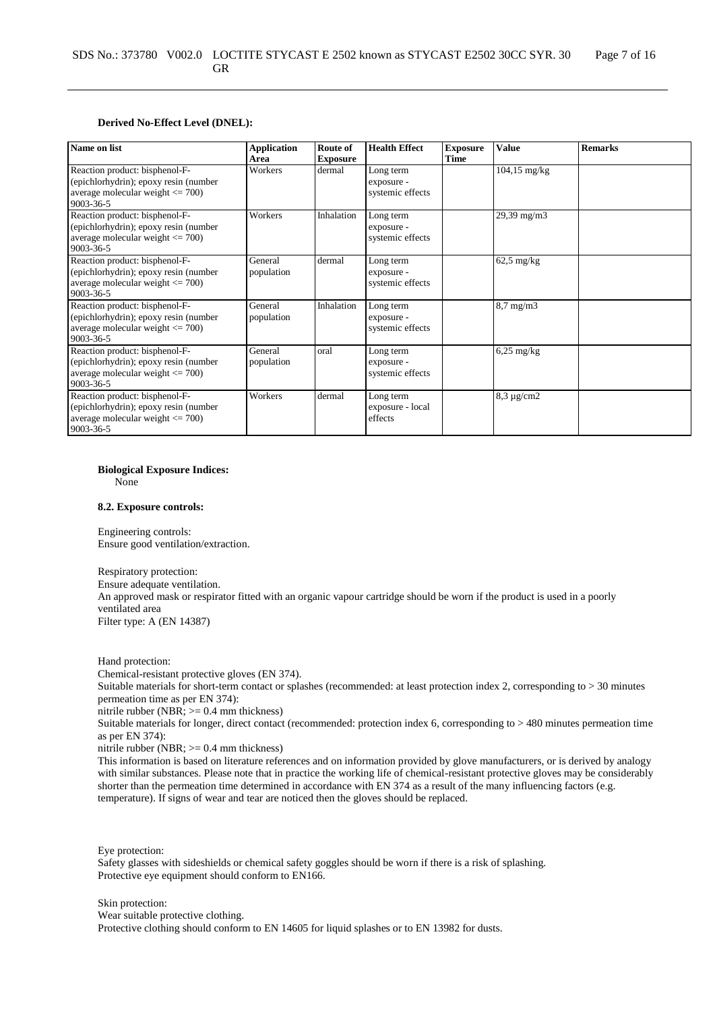#### **Derived No-Effect Level (DNEL):**

| Name on list                                                                                                                 | <b>Application</b><br>Area | Route of<br><b>Exposure</b> | <b>Health Effect</b>                        | <b>Exposure</b><br>Time | <b>Value</b>           | <b>Remarks</b> |
|------------------------------------------------------------------------------------------------------------------------------|----------------------------|-----------------------------|---------------------------------------------|-------------------------|------------------------|----------------|
| Reaction product: bisphenol-F-<br>(epichlorhydrin); epoxy resin (number<br>average molecular weight $\leq$ 700)<br>9003-36-5 | Workers                    | dermal                      | Long term<br>exposure -<br>systemic effects |                         | $104,15 \text{ mg/kg}$ |                |
| Reaction product: bisphenol-F-<br>(epichlorhydrin); epoxy resin (number<br>average molecular weight $\leq$ 700)<br>9003-36-5 | Workers                    | Inhalation                  | Long term<br>exposure -<br>systemic effects |                         | 29,39 mg/m3            |                |
| Reaction product: bisphenol-F-<br>(epichlorhydrin); epoxy resin (number<br>average molecular weight $\leq$ 700)<br>9003-36-5 | General<br>population      | dermal                      | Long term<br>exposure -<br>systemic effects |                         | $62.5$ mg/kg           |                |
| Reaction product: bisphenol-F-<br>(epichlorhydrin); epoxy resin (number<br>average molecular weight $\leq$ 700)<br>9003-36-5 | General<br>population      | Inhalation                  | Long term<br>exposure -<br>systemic effects |                         | $8,7$ mg/m $3$         |                |
| Reaction product: bisphenol-F-<br>(epichlorhydrin); epoxy resin (number<br>average molecular weight $\leq$ 700)<br>9003-36-5 | General<br>population      | oral                        | Long term<br>exposure -<br>systemic effects |                         | $6,25$ mg/kg           |                |
| Reaction product: bisphenol-F-<br>(epichlorhydrin); epoxy resin (number<br>average molecular weight $\leq$ 700)<br>9003-36-5 | Workers                    | dermal                      | Long term<br>exposure - local<br>effects    |                         | $8,3 \mu$ g/cm2        |                |

#### **Biological Exposure Indices:**

None

#### **8.2. Exposure controls:**

Engineering controls: Ensure good ventilation/extraction.

Respiratory protection: Ensure adequate ventilation. An approved mask or respirator fitted with an organic vapour cartridge should be worn if the product is used in a poorly ventilated area Filter type: A (EN 14387)

Hand protection:

Chemical-resistant protective gloves (EN 374).

Suitable materials for short-term contact or splashes (recommended: at least protection index 2, corresponding to > 30 minutes permeation time as per EN 374):

nitrile rubber (NBR; >= 0.4 mm thickness)

Suitable materials for longer, direct contact (recommended: protection index 6, corresponding to > 480 minutes permeation time as per EN 374):

nitrile rubber (NBR;  $>= 0.4$  mm thickness)

This information is based on literature references and on information provided by glove manufacturers, or is derived by analogy with similar substances. Please note that in practice the working life of chemical-resistant protective gloves may be considerably shorter than the permeation time determined in accordance with EN 374 as a result of the many influencing factors (e.g. temperature). If signs of wear and tear are noticed then the gloves should be replaced.

Eye protection:

Safety glasses with sideshields or chemical safety goggles should be worn if there is a risk of splashing. Protective eye equipment should conform to EN166.

Skin protection:

Wear suitable protective clothing.

Protective clothing should conform to EN 14605 for liquid splashes or to EN 13982 for dusts.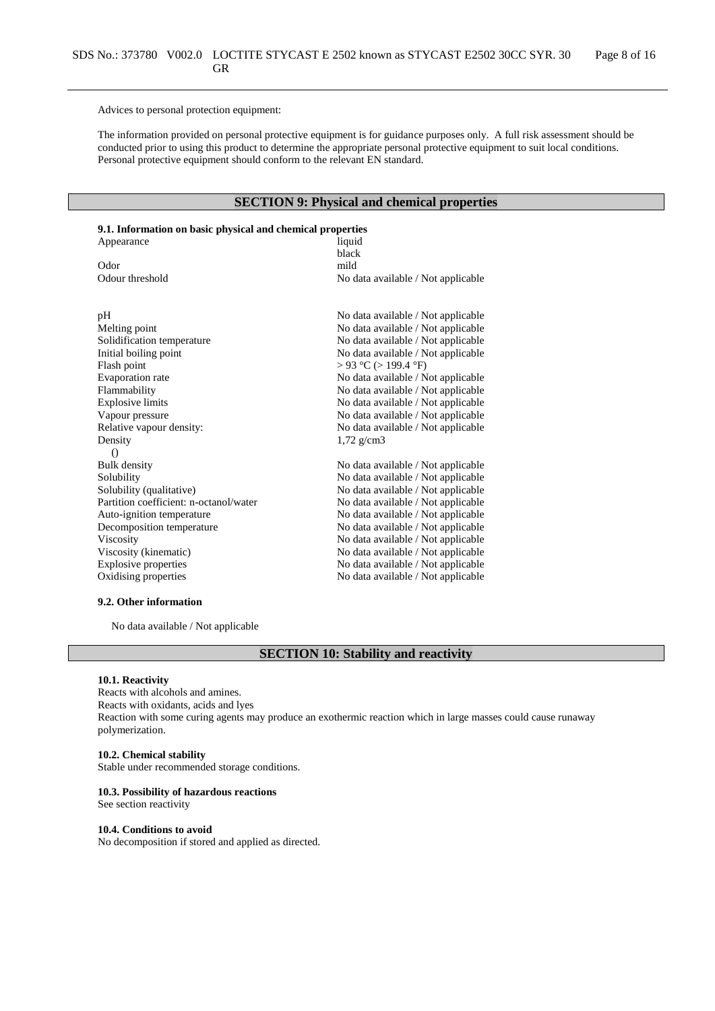Advices to personal protection equipment:

The information provided on personal protective equipment is for guidance purposes only. A full risk assessment should be conducted prior to using this product to determine the appropriate personal protective equipment to suit local conditions. Personal protective equipment should conform to the relevant EN standard.

# **SECTION 9: Physical and chemical properties**

# **9.1. Information on basic physical and chemical properties**

| Appearance                             | liquid                             |
|----------------------------------------|------------------------------------|
|                                        | black                              |
| Odor                                   | mild                               |
| Odour threshold                        | No data available / Not applicable |
|                                        |                                    |
| pH                                     | No data available / Not applicable |
| Melting point                          | No data available / Not applicable |
| Solidification temperature             | No data available / Not applicable |
| Initial boiling point                  | No data available / Not applicable |
| Flash point                            | $> 93$ °C ( $> 199.4$ °F)          |
| Evaporation rate                       | No data available / Not applicable |
| Flammability                           | No data available / Not applicable |
| <b>Explosive limits</b>                | No data available / Not applicable |
| Vapour pressure                        | No data available / Not applicable |
| Relative vapour density:               | No data available / Not applicable |
| Density                                | $1,72$ g/cm3                       |
| $\left( \right)$                       |                                    |
| <b>Bulk density</b>                    | No data available / Not applicable |
| Solubility                             | No data available / Not applicable |
| Solubility (qualitative)               | No data available / Not applicable |
| Partition coefficient: n-octanol/water | No data available / Not applicable |
| Auto-ignition temperature              | No data available / Not applicable |
| Decomposition temperature              | No data available / Not applicable |
| Viscosity                              | No data available / Not applicable |
| Viscosity (kinematic)                  | No data available / Not applicable |
| <b>Explosive properties</b>            | No data available / Not applicable |
| Oxidising properties                   | No data available / Not applicable |

#### **9.2. Other information**

No data available / Not applicable

# **SECTION 10: Stability and reactivity**

#### **10.1. Reactivity**

Reacts with alcohols and amines. Reacts with oxidants, acids and lyes Reaction with some curing agents may produce an exothermic reaction which in large masses could cause runaway polymerization.

## **10.2. Chemical stability**

Stable under recommended storage conditions.

#### **10.3. Possibility of hazardous reactions**

See section reactivity

#### **10.4. Conditions to avoid**

No decomposition if stored and applied as directed.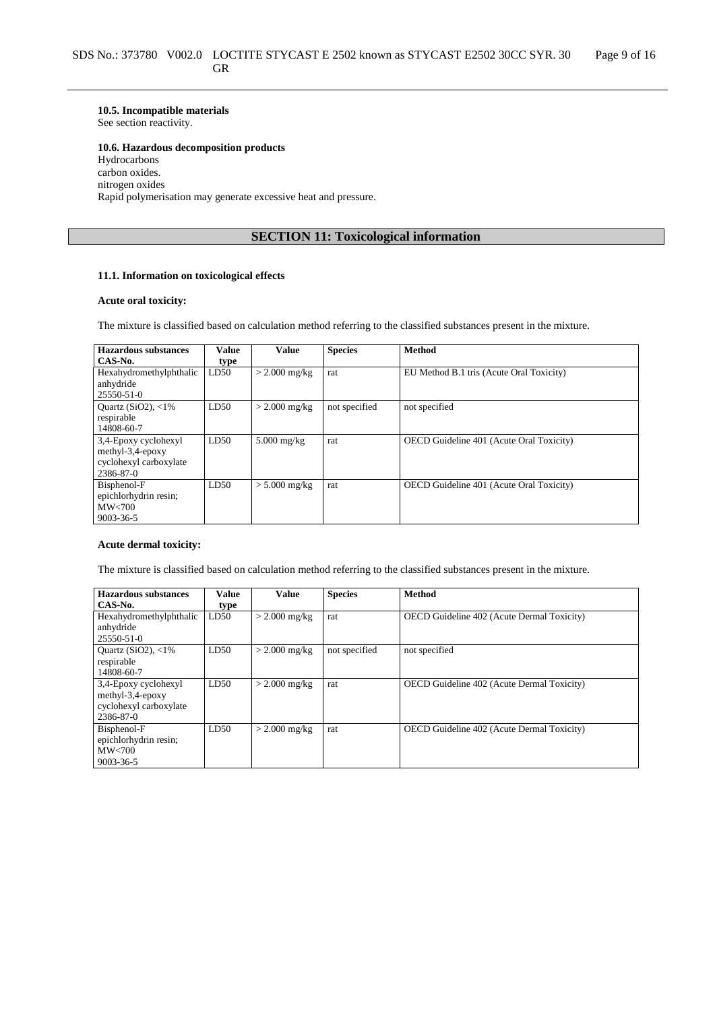## **10.5. Incompatible materials**

See section reactivity.

#### **10.6. Hazardous decomposition products**

Hydrocarbons carbon oxides. nitrogen oxides Rapid polymerisation may generate excessive heat and pressure.

# **SECTION 11: Toxicological information**

### **11.1. Information on toxicological effects**

## **Acute oral toxicity:**

The mixture is classified based on calculation method referring to the classified substances present in the mixture.

| Hazardous substances    | Value | <b>Value</b>    | <b>Species</b> | <b>Method</b>                                   |
|-------------------------|-------|-----------------|----------------|-------------------------------------------------|
| CAS-No.                 | type  |                 |                |                                                 |
| Hexahydromethylphthalic | LD50  | $>$ 2.000 mg/kg | rat            | EU Method B.1 tris (Acute Oral Toxicity)        |
| anhydride               |       |                 |                |                                                 |
| 25550-51-0              |       |                 |                |                                                 |
| Quartz $(SiO2)$ , <1%   | LD50  | $>$ 2.000 mg/kg | not specified  | not specified                                   |
| respirable              |       |                 |                |                                                 |
| 14808-60-7              |       |                 |                |                                                 |
| 3,4-Epoxy cyclohexyl    | LD50  | $5.000$ mg/kg   | rat            | OECD Guideline 401 (Acute Oral Toxicity)        |
| methyl-3,4-epoxy        |       |                 |                |                                                 |
| cyclohexyl carboxylate  |       |                 |                |                                                 |
| 2386-87-0               |       |                 |                |                                                 |
| Bisphenol-F             | LD50  | $> 5.000$ mg/kg | rat            | <b>OECD</b> Guideline 401 (Acute Oral Toxicity) |
| epichlorhydrin resin;   |       |                 |                |                                                 |
| MW<700                  |       |                 |                |                                                 |
| 9003-36-5               |       |                 |                |                                                 |

## **Acute dermal toxicity:**

The mixture is classified based on calculation method referring to the classified substances present in the mixture.

| Hazardous substances        | Value | <b>Value</b>    | <b>Species</b> | <b>Method</b>                                     |
|-----------------------------|-------|-----------------|----------------|---------------------------------------------------|
| CAS-No.                     | type  |                 |                |                                                   |
| Hexahydromethylphthalic     | LD50  | $>$ 2.000 mg/kg | rat            | OECD Guideline 402 (Acute Dermal Toxicity)        |
| anhydride                   |       |                 |                |                                                   |
| 25550-51-0                  |       |                 |                |                                                   |
| Ouartz (SiO2), $\langle$ 1% | LD50  | $>$ 2.000 mg/kg | not specified  | not specified                                     |
| respirable                  |       |                 |                |                                                   |
| 14808-60-7                  |       |                 |                |                                                   |
| 3,4-Epoxy cyclohexyl        | LD50  | $>$ 2.000 mg/kg | rat            | <b>OECD</b> Guideline 402 (Acute Dermal Toxicity) |
| methyl-3,4-epoxy            |       |                 |                |                                                   |
| cyclohexyl carboxylate      |       |                 |                |                                                   |
| 2386-87-0                   |       |                 |                |                                                   |
| Bisphenol-F                 | LD50  | $>$ 2.000 mg/kg | rat            | <b>OECD</b> Guideline 402 (Acute Dermal Toxicity) |
| epichlorhydrin resin;       |       |                 |                |                                                   |
| MW< 700                     |       |                 |                |                                                   |
| 9003-36-5                   |       |                 |                |                                                   |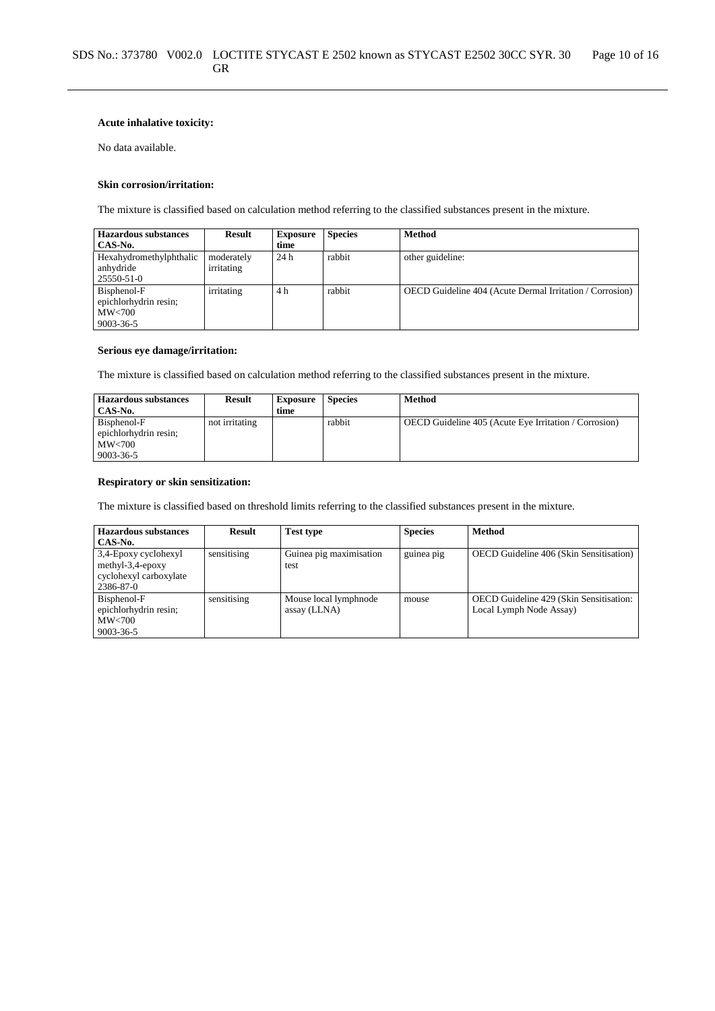#### **Acute inhalative toxicity:**

No data available.

#### **Skin corrosion/irritation:**

The mixture is classified based on calculation method referring to the classified substances present in the mixture.

| <b>Hazardous substances</b> | <b>Result</b> | <b>Exposure</b> | <b>Species</b> | <b>Method</b>                                            |
|-----------------------------|---------------|-----------------|----------------|----------------------------------------------------------|
| CAS-No.                     |               | time            |                |                                                          |
| Hexahydromethylphthalic     | moderately    | 24 h            | rabbit         | other guideline:                                         |
| anhydride                   | irritating    |                 |                |                                                          |
| 25550-51-0                  |               |                 |                |                                                          |
| Bisphenol-F                 | irritating    | 4 h             | rabbit         | OECD Guideline 404 (Acute Dermal Irritation / Corrosion) |
| epichlorhydrin resin;       |               |                 |                |                                                          |
| MW<700                      |               |                 |                |                                                          |
| 9003-36-5                   |               |                 |                |                                                          |

## **Serious eye damage/irritation:**

The mixture is classified based on calculation method referring to the classified substances present in the mixture.

| <b>Hazardous substances</b> | Result         | <b>Exposure</b> | <b>Species</b> | <b>Method</b>                                         |
|-----------------------------|----------------|-----------------|----------------|-------------------------------------------------------|
| CAS-No.                     |                | time            |                |                                                       |
| Bisphenol-F                 | not irritating |                 | rabbit         | OECD Guideline 405 (Acute Eye Irritation / Corrosion) |
| epichlorhydrin resin;       |                |                 |                |                                                       |
| MW<700                      |                |                 |                |                                                       |
| 9003-36-5                   |                |                 |                |                                                       |

### **Respiratory or skin sensitization:**

The mixture is classified based on threshold limits referring to the classified substances present in the mixture.

| <b>Hazardous substances</b><br>CAS-No.                                              | <b>Result</b> | <b>Test type</b>                      | <b>Species</b> | Method                                                             |
|-------------------------------------------------------------------------------------|---------------|---------------------------------------|----------------|--------------------------------------------------------------------|
| 3,4-Epoxy cyclohexyl<br>methyl- $3,4$ -epoxy<br>cyclohexyl carboxylate<br>2386-87-0 | sensitising   | Guinea pig maximisation<br>test       | guinea pig     | OECD Guideline 406 (Skin Sensitisation)                            |
| Bisphenol-F<br>epichlorhydrin resin;<br>MW<700<br>9003-36-5                         | sensitising   | Mouse local lymphnode<br>assay (LLNA) | mouse          | OECD Guideline 429 (Skin Sensitisation:<br>Local Lymph Node Assay) |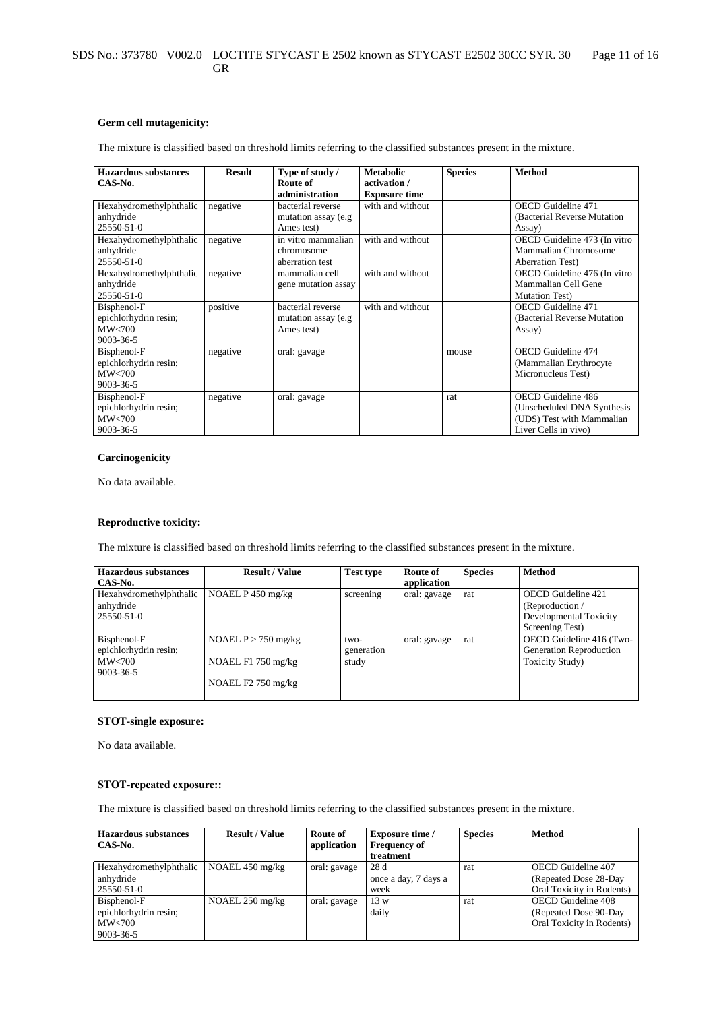## **Germ cell mutagenicity:**

The mixture is classified based on threshold limits referring to the classified substances present in the mixture.

| Hazardous substances    | <b>Result</b> | Type of study /     | <b>Metabolic</b>     | <b>Species</b> | <b>Method</b>                |
|-------------------------|---------------|---------------------|----------------------|----------------|------------------------------|
| CAS-No.                 |               | Route of            | activation /         |                |                              |
|                         |               | administration      | <b>Exposure time</b> |                |                              |
| Hexahydromethylphthalic | negative      | bacterial reverse   | with and without     |                | <b>OECD</b> Guideline 471    |
| anhydride               |               | mutation assay (e.g |                      |                | (Bacterial Reverse Mutation) |
| 25550-51-0              |               | Ames test)          |                      |                | Assay)                       |
| Hexahydromethylphthalic | negative      | in vitro mammalian  | with and without     |                | OECD Guideline 473 (In vitro |
| anhydride               |               | chromosome          |                      |                | Mammalian Chromosome         |
| 25550-51-0              |               | aberration test     |                      |                | <b>Aberration Test</b> )     |
| Hexahydromethylphthalic | negative      | mammalian cell      | with and without     |                | OECD Guideline 476 (In vitro |
| anhydride               |               | gene mutation assay |                      |                | Mammalian Cell Gene          |
| $25550 - 51 - 0$        |               |                     |                      |                | <b>Mutation Test)</b>        |
| Bisphenol-F             | positive      | bacterial reverse   | with and without     |                | <b>OECD</b> Guideline 471    |
| epichlorhydrin resin;   |               | mutation assay (e.g |                      |                | (Bacterial Reverse Mutation  |
| MW<700                  |               | Ames test)          |                      |                | Assay)                       |
| 9003-36-5               |               |                     |                      |                |                              |
| Bisphenol-F             | negative      | oral: gavage        |                      | mouse          | <b>OECD</b> Guideline 474    |
| epichlorhydrin resin;   |               |                     |                      |                | (Mammalian Erythrocyte)      |
| MW<700                  |               |                     |                      |                | Micronucleus Test)           |
| 9003-36-5               |               |                     |                      |                |                              |
| Bisphenol-F             | negative      | oral: gavage        |                      | rat            | <b>OECD</b> Guideline 486    |
| epichlorhydrin resin;   |               |                     |                      |                | (Unscheduled DNA Synthesis)  |
| MW<700                  |               |                     |                      |                | (UDS) Test with Mammalian    |
| 9003-36-5               |               |                     |                      |                | Liver Cells in vivo)         |

## **Carcinogenicity**

No data available.

## **Reproductive toxicity:**

The mixture is classified based on threshold limits referring to the classified substances present in the mixture.

| Hazardous substances    | <b>Result / Value</b> | <b>Test type</b> | Route of     | <b>Species</b> | <b>Method</b>            |
|-------------------------|-----------------------|------------------|--------------|----------------|--------------------------|
| CAS-No.                 |                       |                  | application  |                |                          |
| Hexahydromethylphthalic | NOAEL $P$ 450 mg/kg   | screening        | oral: gavage | rat            | OECD Guideline 421       |
| anhydride               |                       |                  |              |                | (Reproduction /          |
| 25550-51-0              |                       |                  |              |                | Developmental Toxicity   |
|                         |                       |                  |              |                | Screening Test)          |
| Bisphenol-F             | NOAEL $P > 750$ mg/kg | two-             | oral: gavage | rat            | OECD Guideline 416 (Two- |
| epichlorhydrin resin;   |                       | generation       |              |                | Generation Reproduction  |
| MW<700                  | NOAEL $F1$ 750 mg/kg  | study            |              |                | <b>Toxicity Study</b> )  |
| $9003 - 36 - 5$         |                       |                  |              |                |                          |
|                         | NOAEL $F2$ 750 mg/kg  |                  |              |                |                          |
|                         |                       |                  |              |                |                          |

#### **STOT-single exposure:**

No data available.

## **STOT-repeated exposure::**

The mixture is classified based on threshold limits referring to the classified substances present in the mixture.

| Hazardous substances    | <b>Result / Value</b>     | Route of     | <b>Exposure time</b> / | <b>Species</b> | Method                    |
|-------------------------|---------------------------|--------------|------------------------|----------------|---------------------------|
| CAS-No.                 |                           | application  | <b>Frequency of</b>    |                |                           |
|                         |                           |              | treatment              |                |                           |
| Hexahydromethylphthalic | NOAEL $450 \text{ mg/kg}$ | oral: gavage | 28d                    | rat            | OECD Guideline 407        |
| anhydride               |                           |              | once a day, 7 days a   |                | (Repeated Dose 28-Day)    |
| 25550-51-0              |                           |              | week                   |                | Oral Toxicity in Rodents) |
| Bisphenol-F             | NOAEL $250 \text{ mg/kg}$ | oral: gavage | 13 w                   | rat            | OECD Guideline 408        |
| epichlorhydrin resin;   |                           |              | daily                  |                | (Repeated Dose 90-Day)    |
| $\text{MW}$ <700        |                           |              |                        |                | Oral Toxicity in Rodents) |
| 9003-36-5               |                           |              |                        |                |                           |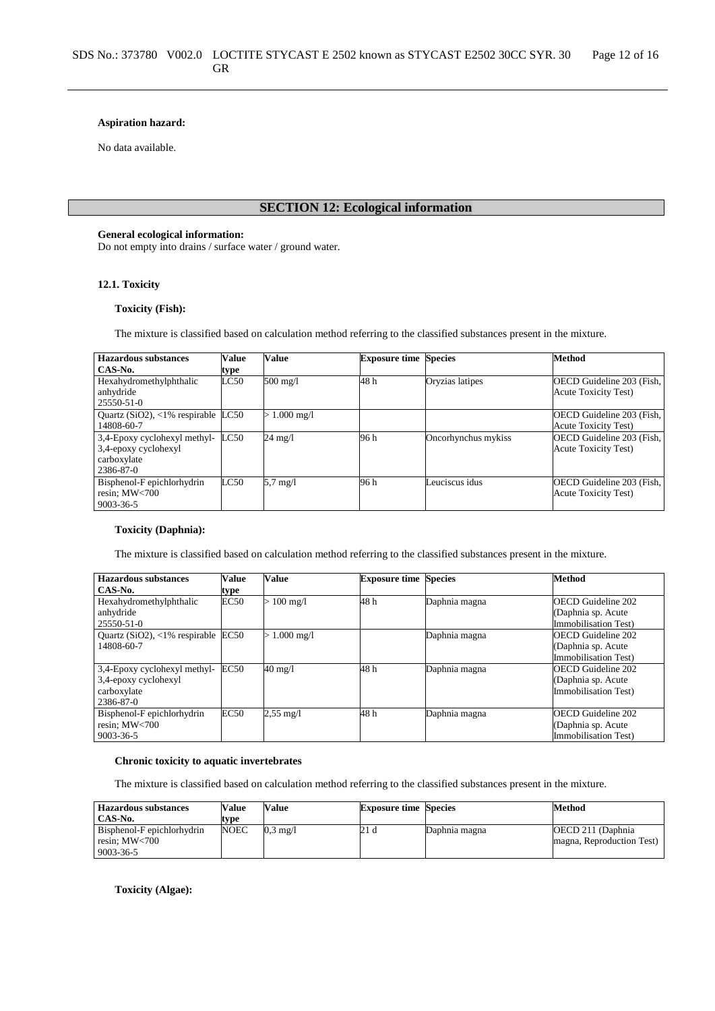### **Aspiration hazard:**

No data available.

# **SECTION 12: Ecological information**

#### **General ecological information:**

Do not empty into drains / surface water / ground water.

## **12.1. Toxicity**

## **Toxicity (Fish):**

The mixture is classified based on calculation method referring to the classified substances present in the mixture.

| <b>Hazardous substances</b>                                                      | Value | <b>Value</b>       | <b>Exposure time Species</b> |                     | <b>Method</b>                                             |
|----------------------------------------------------------------------------------|-------|--------------------|------------------------------|---------------------|-----------------------------------------------------------|
| CAS-No.                                                                          | type  |                    |                              |                     |                                                           |
| Hexahydromethylphthalic<br>anhydride<br>25550-51-0                               | LC50  | $500$ mg/l         | 48h                          | Oryzias latipes     | OECD Guideline 203 (Fish,<br><b>Acute Toxicity Test</b> ) |
| Quartz ( $SiO2$ ), <1% respirable LC50<br>14808-60-7                             |       | $> 1.000$ mg/l     |                              |                     | OECD Guideline 203 (Fish,<br><b>Acute Toxicity Test)</b>  |
| 3,4-Epoxy cyclohexyl methyl-<br>3,4-epoxy cyclohexyl<br>carboxylate<br>2386-87-0 | LC50  | 24 mg/l            | 96 h                         | Oncorhynchus mykiss | OECD Guideline 203 (Fish,<br><b>Acute Toxicity Test)</b>  |
| Bisphenol-F epichlorhydrin<br>resin; $MW<700$<br>9003-36-5                       | LC50  | $5.7 \text{ mg}/l$ | 96 h                         | Leuciscus idus      | OECD Guideline 203 (Fish,<br><b>Acute Toxicity Test</b> ) |

### **Toxicity (Daphnia):**

The mixture is classified based on calculation method referring to the classified substances present in the mixture.

| <b>Hazardous substances</b>                  | Value | Value                | <b>Exposure time Species</b> |               | <b>Method</b>               |
|----------------------------------------------|-------|----------------------|------------------------------|---------------|-----------------------------|
| CAS-No.                                      | type  |                      |                              |               |                             |
| Hexahydromethylphthalic                      | EC50  | $> 100 \text{ mg/l}$ | 48 h                         | Daphnia magna | <b>OECD</b> Guideline 202   |
| anhydride                                    |       |                      |                              |               | (Daphnia sp. Acute          |
| 25550-51-0                                   |       |                      |                              |               | Immobilisation Test)        |
| Quartz (SiO2), $\langle 1\%$ respirable EC50 |       | $1.000$ mg/l         |                              | Daphnia magna | <b>OECD</b> Guideline 202   |
| 14808-60-7                                   |       |                      |                              |               | (Daphnia sp. Acute          |
|                                              |       |                      |                              |               | <b>Immobilisation Test)</b> |
| 3,4-Epoxy cyclohexyl methyl-                 | EC50  | 40 mg/l              | 48 h                         | Daphnia magna | <b>OECD</b> Guideline 202   |
| 3,4-epoxy cyclohexyl                         |       |                      |                              |               | (Daphnia sp. Acute          |
| carboxylate                                  |       |                      |                              |               | Immobilisation Test)        |
| 2386-87-0                                    |       |                      |                              |               |                             |
| Bisphenol-F epichlorhydrin                   | EC50  | $2,55 \text{ mg}/1$  | 48 h                         | Daphnia magna | <b>OECD</b> Guideline 202   |
| resin; MW<700                                |       |                      |                              |               | (Daphnia sp. Acute          |
| 9003-36-5                                    |       |                      |                              |               | Immobilisation Test)        |

#### **Chronic toxicity to aquatic invertebrates**

The mixture is classified based on calculation method referring to the classified substances present in the mixture.

| <b>Hazardous substances</b> | Value       | Value              | <b>Exposure time Species</b> |               | Method                    |
|-----------------------------|-------------|--------------------|------------------------------|---------------|---------------------------|
| CAS No.                     | type        |                    |                              |               |                           |
| Bisphenol-F epichlorhydrin  | <b>NOEC</b> | $0.3 \text{ mg}/l$ | 21 d                         | Daphnia magna | OECD 211 (Daphnia)        |
| resin: $MW<700$             |             |                    |                              |               | magna, Reproduction Test) |
| 9003-36-5                   |             |                    |                              |               |                           |

**Toxicity (Algae):**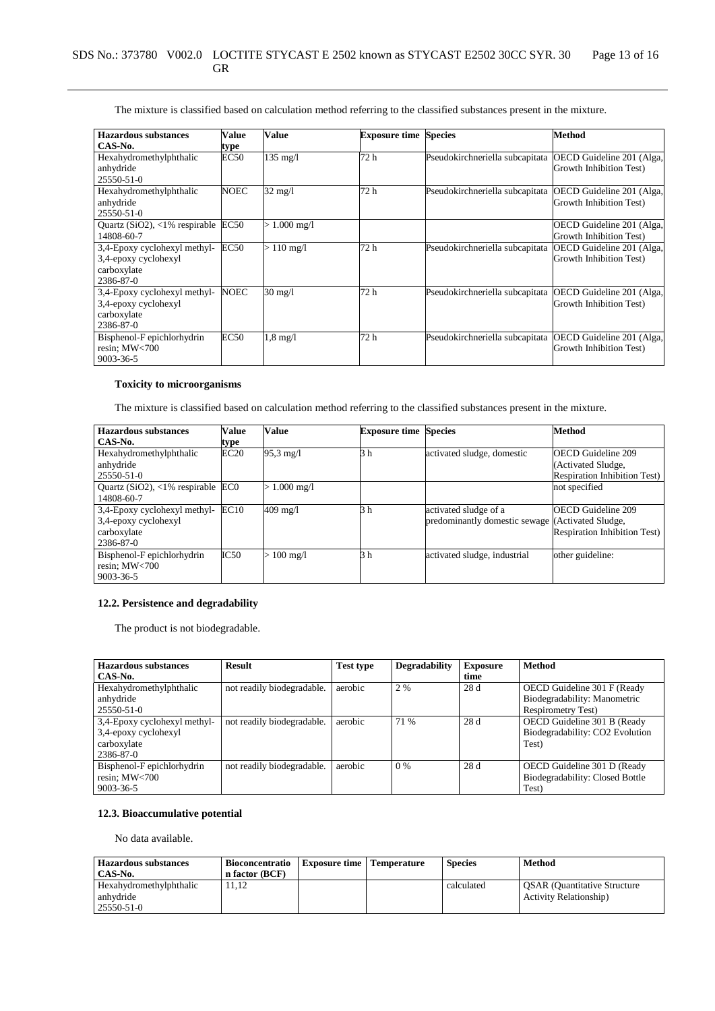| <b>Hazardous substances</b>      | Value            | Value                | <b>Exposure time</b> | <b>Species</b>                  | Method                    |
|----------------------------------|------------------|----------------------|----------------------|---------------------------------|---------------------------|
| CAS-No.                          | type             |                      |                      |                                 |                           |
| Hexahydromethylphthalic          | EC50             | $135 \text{ mg}/1$   | 72 h                 | Pseudokirchneriella subcapitata | OECD Guideline 201 (Alga, |
| anhydride                        |                  |                      |                      |                                 | Growth Inhibition Test)   |
| 25550-51-0                       |                  |                      |                      |                                 |                           |
| Hexahydromethylphthalic          | <b>NOEC</b>      | $32 \text{ mg/l}$    | 72 h                 | Pseudokirchneriella subcapitata | OECD Guideline 201 (Alga, |
| anhydride                        |                  |                      |                      |                                 | Growth Inhibition Test)   |
| 25550-51-0                       |                  |                      |                      |                                 |                           |
| Quartz $(SiO2)$ , <1% respirable | EC <sub>50</sub> | $> 1.000$ mg/l       |                      |                                 | OECD Guideline 201 (Alga, |
| 14808-60-7                       |                  |                      |                      |                                 | Growth Inhibition Test)   |
| 3,4-Epoxy cyclohexyl methyl-     | <b>EC50</b>      | $> 110 \text{ mg/l}$ | 72 h                 | Pseudokirchneriella subcapitata | OECD Guideline 201 (Alga, |
| 3,4-epoxy cyclohexyl             |                  |                      |                      |                                 | Growth Inhibition Test)   |
| carboxylate                      |                  |                      |                      |                                 |                           |
| 2386-87-0                        |                  |                      |                      |                                 |                           |
| 3,4-Epoxy cyclohexyl methyl-     | <b>NOEC</b>      | $30 \text{ mg/l}$    | 72 h                 | Pseudokirchneriella subcapitata | OECD Guideline 201 (Alga, |
| 3,4-epoxy cyclohexyl             |                  |                      |                      |                                 | Growth Inhibition Test)   |
| carboxylate                      |                  |                      |                      |                                 |                           |
| 2386-87-0                        |                  |                      |                      |                                 |                           |
| Bisphenol-F epichlorhydrin       | <b>EC50</b>      | $1.8 \text{ mg}/1$   | 72 h                 | Pseudokirchneriella subcapitata | OECD Guideline 201 (Alga, |
| resin; MW<700                    |                  |                      |                      |                                 | Growth Inhibition Test)   |
| 9003-36-5                        |                  |                      |                      |                                 |                           |

# **Toxicity to microorganisms**

The mixture is classified based on calculation method referring to the classified substances present in the mixture.

| <b>Hazardous substances</b>          | <b>Value</b> | Value                | <b>Exposure time Species</b> |                                                  | <b>Method</b>                        |
|--------------------------------------|--------------|----------------------|------------------------------|--------------------------------------------------|--------------------------------------|
| CAS-No.                              | type         |                      |                              |                                                  |                                      |
| Hexahydromethylphthalic              | EC20         | $95.3 \text{ mg}/1$  | 3 h                          | activated sludge, domestic                       | <b>OECD</b> Guideline 209            |
| anhydride                            |              |                      |                              |                                                  | (Activated Sludge,                   |
| 25550-51-0                           |              |                      |                              |                                                  | <b>Respiration Inhibition Test</b> ) |
| Quartz $(SiO2)$ , <1% respirable ECO |              | $1.000 \text{ mg}/1$ |                              |                                                  | not specified                        |
| 14808-60-7                           |              |                      |                              |                                                  |                                      |
| 3,4-Epoxy cyclohexyl methyl-         | EC10         | 409 mg/l             | 3 h                          | activated sludge of a                            | <b>OECD</b> Guideline 209            |
| 3,4-epoxy cyclohexyl                 |              |                      |                              | predominantly domestic sewage (Activated Sludge, |                                      |
| carboxylate                          |              |                      |                              |                                                  | <b>Respiration Inhibition Test)</b>  |
| 2386-87-0                            |              |                      |                              |                                                  |                                      |
| Bisphenol-F epichlorhydrin           | IC50         | $>100 \text{ mg/l}$  | 3 h                          | activated sludge, industrial                     | other guideline:                     |
| resin: $MW<700$                      |              |                      |                              |                                                  |                                      |
| 9003-36-5                            |              |                      |                              |                                                  |                                      |

# **12.2. Persistence and degradability**

The product is not biodegradable.

| <b>Hazardous substances</b>  | <b>Result</b>              | <b>Test type</b> | <b>Degradability</b> | <b>Exposure</b> | <b>Method</b>                   |
|------------------------------|----------------------------|------------------|----------------------|-----------------|---------------------------------|
| CAS-No.                      |                            |                  |                      | time            |                                 |
| Hexahydromethylphthalic      | not readily biodegradable. | aerobic          | 2 %                  | 28 d            | OECD Guideline 301 F (Ready     |
| anhydride                    |                            |                  |                      |                 | Biodegradability: Manometric    |
| $25550 - 51 - 0$             |                            |                  |                      |                 | <b>Respirometry Test)</b>       |
| 3,4-Epoxy cyclohexyl methyl- | not readily biodegradable. | aerobic          | 71 %                 | 28d             | OECD Guideline 301 B (Ready     |
| 3,4-epoxy cyclohexyl         |                            |                  |                      |                 | Biodegradability: CO2 Evolution |
| carboxylate                  |                            |                  |                      |                 | Test)                           |
| 2386-87-0                    |                            |                  |                      |                 |                                 |
| Bisphenol-F epichlorhydrin   | not readily biodegradable. | aerobic          | $0\%$                | 28d             | OECD Guideline 301 D (Ready     |
| resin; $MW<700$              |                            |                  |                      |                 | Biodegradability: Closed Bottle |
| 9003-36-5                    |                            |                  |                      |                 | Test)                           |

# **12.3. Bioaccumulative potential**

No data available.

| <b>Hazardous substances</b><br>CAS-No. | <b>Bioconcentratio</b><br>n factor (BCF) | <b>Exposure time   Temperature</b> | <b>Species</b> | Method                              |
|----------------------------------------|------------------------------------------|------------------------------------|----------------|-------------------------------------|
| Hexahydromethylphthalic                | 11.12                                    |                                    | calculated     | <b>OSAR</b> (Quantitative Structure |
| anhydride                              |                                          |                                    |                | <b>Activity Relationship</b> )      |
| 25550-51-0                             |                                          |                                    |                |                                     |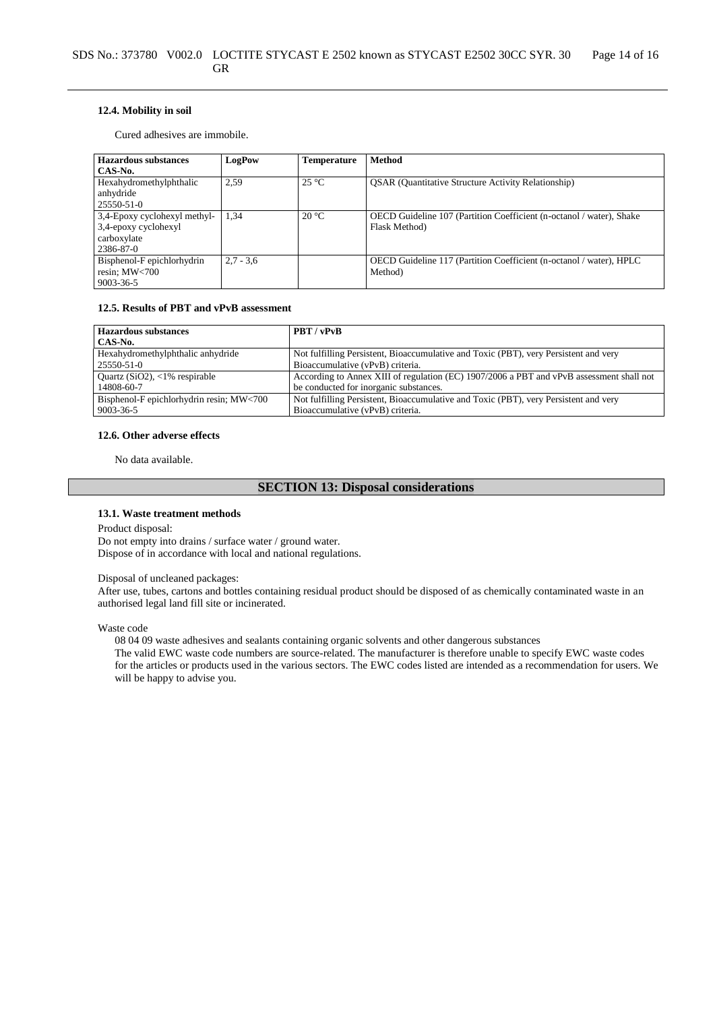### **12.4. Mobility in soil**

Cured adhesives are immobile.

| <b>Hazardous substances</b>  | LogPow      | Temperature    | <b>Method</b>                                                        |
|------------------------------|-------------|----------------|----------------------------------------------------------------------|
| CAS-No.                      |             |                |                                                                      |
| Hexahydromethylphthalic      | 2.59        | $25^{\circ}$ C | <b>OSAR</b> (Quantitative Structure Activity Relationship)           |
| anhydride                    |             |                |                                                                      |
| 25550-51-0                   |             |                |                                                                      |
| 3,4-Epoxy cyclohexyl methyl- | 1,34        | $20^{\circ}$ C | OECD Guideline 107 (Partition Coefficient (n-octanol / water), Shake |
| 3,4-epoxy cyclohexyl         |             |                | Flask Method)                                                        |
| carboxylate                  |             |                |                                                                      |
| 2386-87-0                    |             |                |                                                                      |
| Bisphenol-F epichlorhydrin   | $2.7 - 3.6$ |                | OECD Guideline 117 (Partition Coefficient (n-octanol / water), HPLC  |
| resin; MW<700                |             |                | Method)                                                              |
| 9003-36-5                    |             |                |                                                                      |

### **12.5. Results of PBT and vPvB assessment**

| <b>Hazardous substances</b>              | PBT / vPvB                                                                               |
|------------------------------------------|------------------------------------------------------------------------------------------|
| CAS-No.                                  |                                                                                          |
| Hexahydromethylphthalic anhydride        | Not fulfilling Persistent, Bioaccumulative and Toxic (PBT), very Persistent and very     |
| 25550-51-0                               | Bioaccumulative (vPvB) criteria.                                                         |
| Quartz $(SiO2)$ , <1% respirable         | According to Annex XIII of regulation (EC) 1907/2006 a PBT and vPvB assessment shall not |
| 14808-60-7                               | be conducted for inorganic substances.                                                   |
| Bisphenol-F epichlorhydrin resin; MW<700 | Not fulfilling Persistent, Bioaccumulative and Toxic (PBT), very Persistent and very     |
| 9003-36-5                                | Bioaccumulative (vPvB) criteria.                                                         |

#### **12.6. Other adverse effects**

No data available.

# **SECTION 13: Disposal considerations**

#### **13.1. Waste treatment methods**

Product disposal:

Do not empty into drains / surface water / ground water. Dispose of in accordance with local and national regulations.

#### Disposal of uncleaned packages:

After use, tubes, cartons and bottles containing residual product should be disposed of as chemically contaminated waste in an authorised legal land fill site or incinerated.

Waste code

08 04 09 waste adhesives and sealants containing organic solvents and other dangerous substances

The valid EWC waste code numbers are source-related. The manufacturer is therefore unable to specify EWC waste codes for the articles or products used in the various sectors. The EWC codes listed are intended as a recommendation for users. We will be happy to advise you.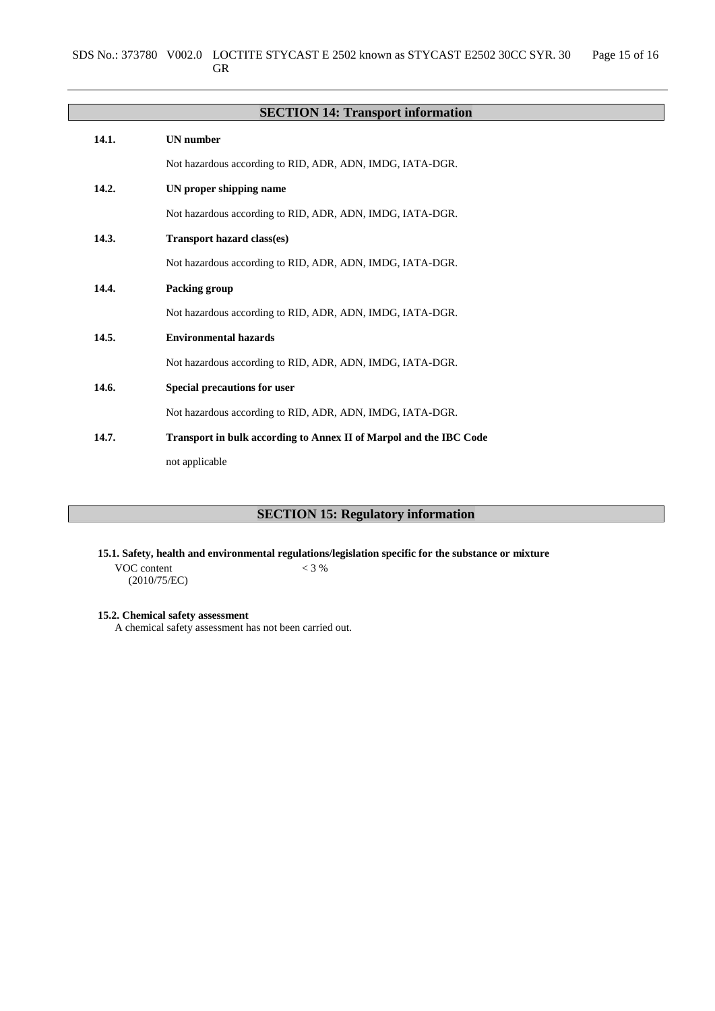|       | <b>SECTION 14: Transport information</b>                           |
|-------|--------------------------------------------------------------------|
| 14.1. | <b>UN</b> number                                                   |
|       | Not hazardous according to RID, ADR, ADN, IMDG, IATA-DGR.          |
| 14.2. | UN proper shipping name                                            |
|       | Not hazardous according to RID, ADR, ADN, IMDG, IATA-DGR.          |
| 14.3. | <b>Transport hazard class(es)</b>                                  |
|       | Not hazardous according to RID, ADR, ADN, IMDG, IATA-DGR.          |
| 14.4. | Packing group                                                      |
|       | Not hazardous according to RID, ADR, ADN, IMDG, IATA-DGR.          |
| 14.5. | <b>Environmental hazards</b>                                       |
|       | Not hazardous according to RID, ADR, ADN, IMDG, IATA-DGR.          |
| 14.6. | Special precautions for user                                       |
|       | Not hazardous according to RID, ADR, ADN, IMDG, IATA-DGR.          |
| 14.7. | Transport in bulk according to Annex II of Marpol and the IBC Code |
|       | not applicable                                                     |

# **SECTION 15: Regulatory information**

**15.1. Safety, health and environmental regulations/legislation specific for the substance or mixture**

VOC content (2010/75/EC)  $< 3 %$ 

**15.2. Chemical safety assessment**

A chemical safety assessment has not been carried out.